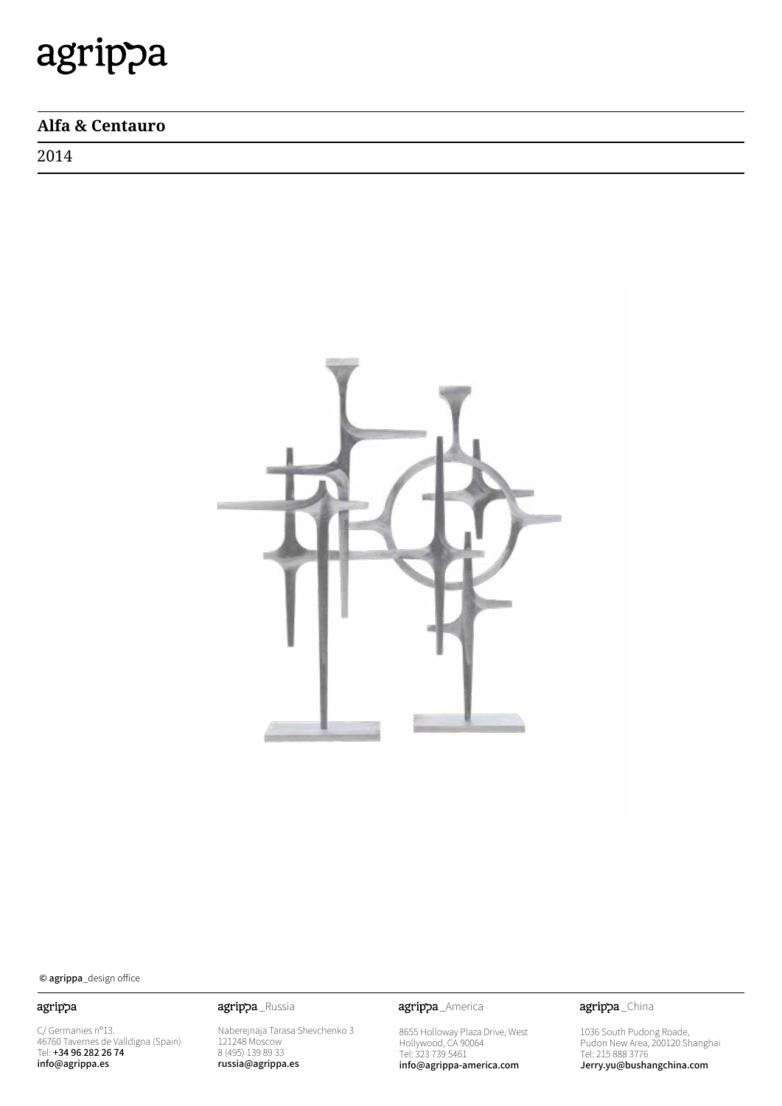## **Alfa & Centauro**

2014



© agrippa\_design office

### agrippa

C/ Germanies nº13. 46760 Tavernes de Valldigna (Spain) Tel: +34 96 282 26 74 info@agrippa.es

Naberejnaja Tarasa Shevchenko 3 121248 Moscow 8 (495) 139 89 33 russia@agrippa.es

agrippa\_Russia **agrippa**\_America

8655 Holloway Plaza Drive, West Hollywood, CA 90064 Tel: 323 739 5461 info@agrippa-america.com

agrippa\_China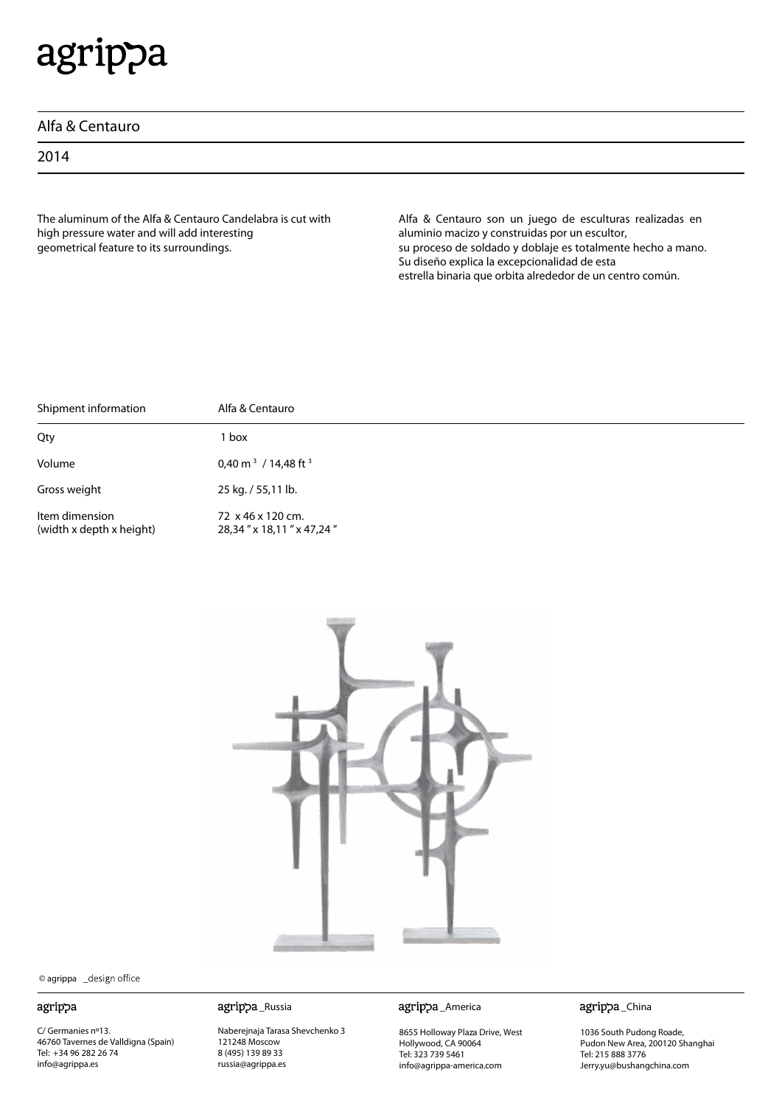| Alfa & Centauro |  |
|-----------------|--|
|-----------------|--|

2014

The aluminum of the Alfa & Centauro Candelabra is cut with high pressure water and will add interesting geometrical feature to its surroundings.

Alfa & Centauro son un juego de esculturas realizadas en aluminio macizo y construidas por un escultor, su proceso de soldado y doblaje es totalmente hecho a mano. Su diseño explica la excepcionalidad de esta estrella binaria que orbita alrededor de un centro común.

| Shipment information                       | Alfa & Centauro                               |
|--------------------------------------------|-----------------------------------------------|
| Qty                                        | l box                                         |
| Volume                                     | 0,40 m <sup>3</sup> / 14,48 ft <sup>3</sup>   |
| Gross weight                               | 25 kg. / 55,11 lb.                            |
| Item dimension<br>(width x depth x height) | 72 x 46 x 120 cm.<br>28,34" x 18,11" x 47,24" |



© agrippa \_design office

#### agrippa

C/ Germanies nº13. 46760 Tavernes de Valldigna (Spain) Tel: +34 96 282 26 74 info@agrippa.es

Naberejnaja Tarasa Shevchenko 3 121248 Moscow 8 (495) 139 89 33 russia@agrippa.es

\_Russia \_America

8655 Holloway Plaza Drive, West Hollywood, CA 90064 Tel: 323 739 5461 info@agrippa-america.com

agrippa\_China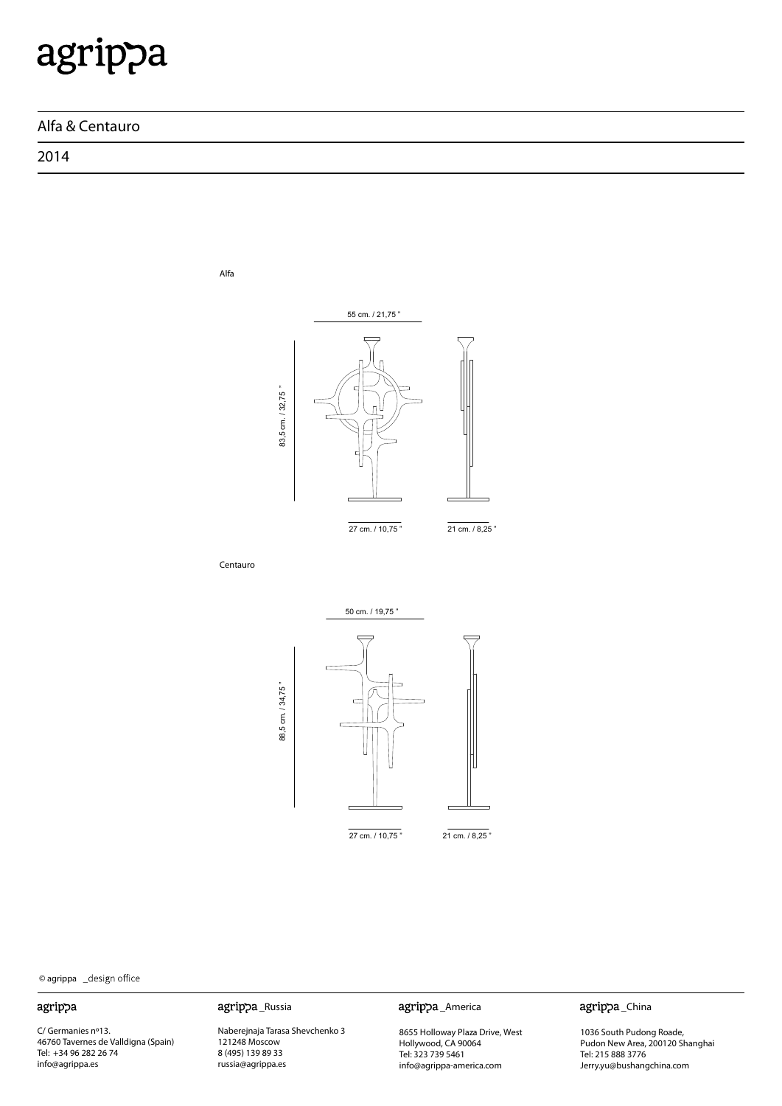### **Alfa & Centauro**

Alfa

2014



© agrippa

#### agrippa

C/ Germanies nº13. 46760 Tavernes de Valldigna (Spain) Tel: +34 96 282 26 74 info@agrippa.es

Naberejnaja Tarasa Shevchenko 3 121248 Moscow 8 (495) 139 89 33 russia@agrippa.es

agrippa\_Russia agrippa\_America

8655 Holloway Plaza Drive, West Hollywood, CA 90064 Tel: 323 739 5461 info@agrippa-america.com

agrippa\_China